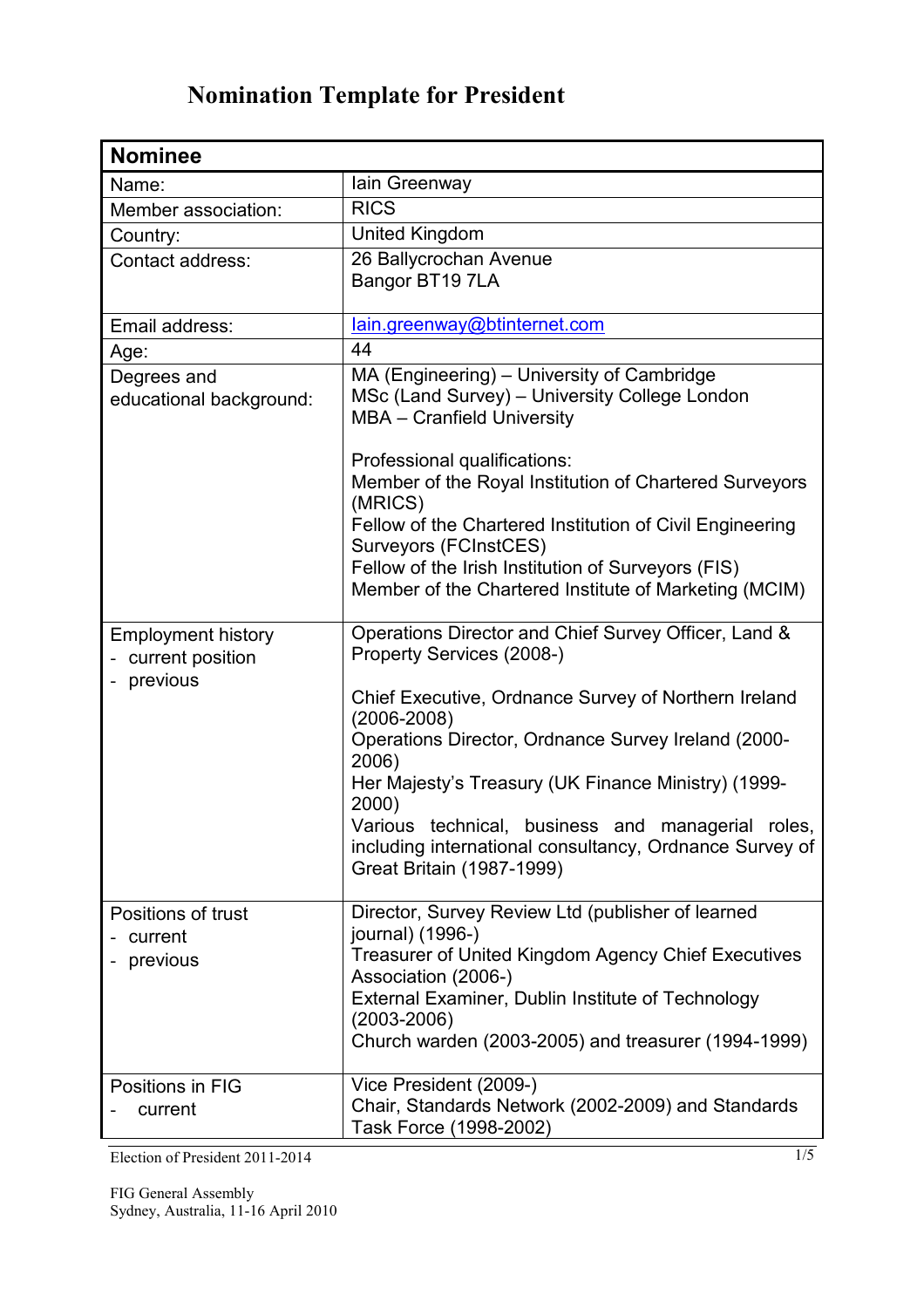| <b>Nominee</b>                                            |                                                                                                                                                                                                                                                                                                                                                                                                                                                     |
|-----------------------------------------------------------|-----------------------------------------------------------------------------------------------------------------------------------------------------------------------------------------------------------------------------------------------------------------------------------------------------------------------------------------------------------------------------------------------------------------------------------------------------|
| Name:                                                     | lain Greenway                                                                                                                                                                                                                                                                                                                                                                                                                                       |
| Member association:                                       | <b>RICS</b>                                                                                                                                                                                                                                                                                                                                                                                                                                         |
| Country:                                                  | United Kingdom                                                                                                                                                                                                                                                                                                                                                                                                                                      |
| Contact address:                                          | 26 Ballycrochan Avenue<br>Bangor BT19 7LA                                                                                                                                                                                                                                                                                                                                                                                                           |
| Email address:                                            | lain.greenway@btinternet.com                                                                                                                                                                                                                                                                                                                                                                                                                        |
| Age:                                                      | 44                                                                                                                                                                                                                                                                                                                                                                                                                                                  |
| Degrees and<br>educational background:                    | MA (Engineering) – University of Cambridge<br>MSc (Land Survey) - University College London<br>MBA - Cranfield University                                                                                                                                                                                                                                                                                                                           |
|                                                           | Professional qualifications:<br>Member of the Royal Institution of Chartered Surveyors<br>(MRICS)<br>Fellow of the Chartered Institution of Civil Engineering<br>Surveyors (FCInstCES)<br>Fellow of the Irish Institution of Surveyors (FIS)<br>Member of the Chartered Institute of Marketing (MCIM)                                                                                                                                               |
| <b>Employment history</b><br>current position<br>previous | Operations Director and Chief Survey Officer, Land &<br>Property Services (2008-)<br>Chief Executive, Ordnance Survey of Northern Ireland<br>$(2006 - 2008)$<br>Operations Director, Ordnance Survey Ireland (2000-<br>2006)<br>Her Majesty's Treasury (UK Finance Ministry) (1999-<br>2000)<br>Various technical,<br>business and managerial roles,<br>including international consultancy, Ordnance Survey of<br><b>Great Britain (1987-1999)</b> |
| Positions of trust<br>current<br>previous                 | Director, Survey Review Ltd (publisher of learned<br>journal) (1996-)<br>Treasurer of United Kingdom Agency Chief Executives<br>Association (2006-)<br>External Examiner, Dublin Institute of Technology<br>$(2003 - 2006)$<br>Church warden (2003-2005) and treasurer (1994-1999)                                                                                                                                                                  |
| Positions in FIG<br>current                               | Vice President (2009-)<br>Chair, Standards Network (2002-2009) and Standards<br>Task Force (1998-2002)                                                                                                                                                                                                                                                                                                                                              |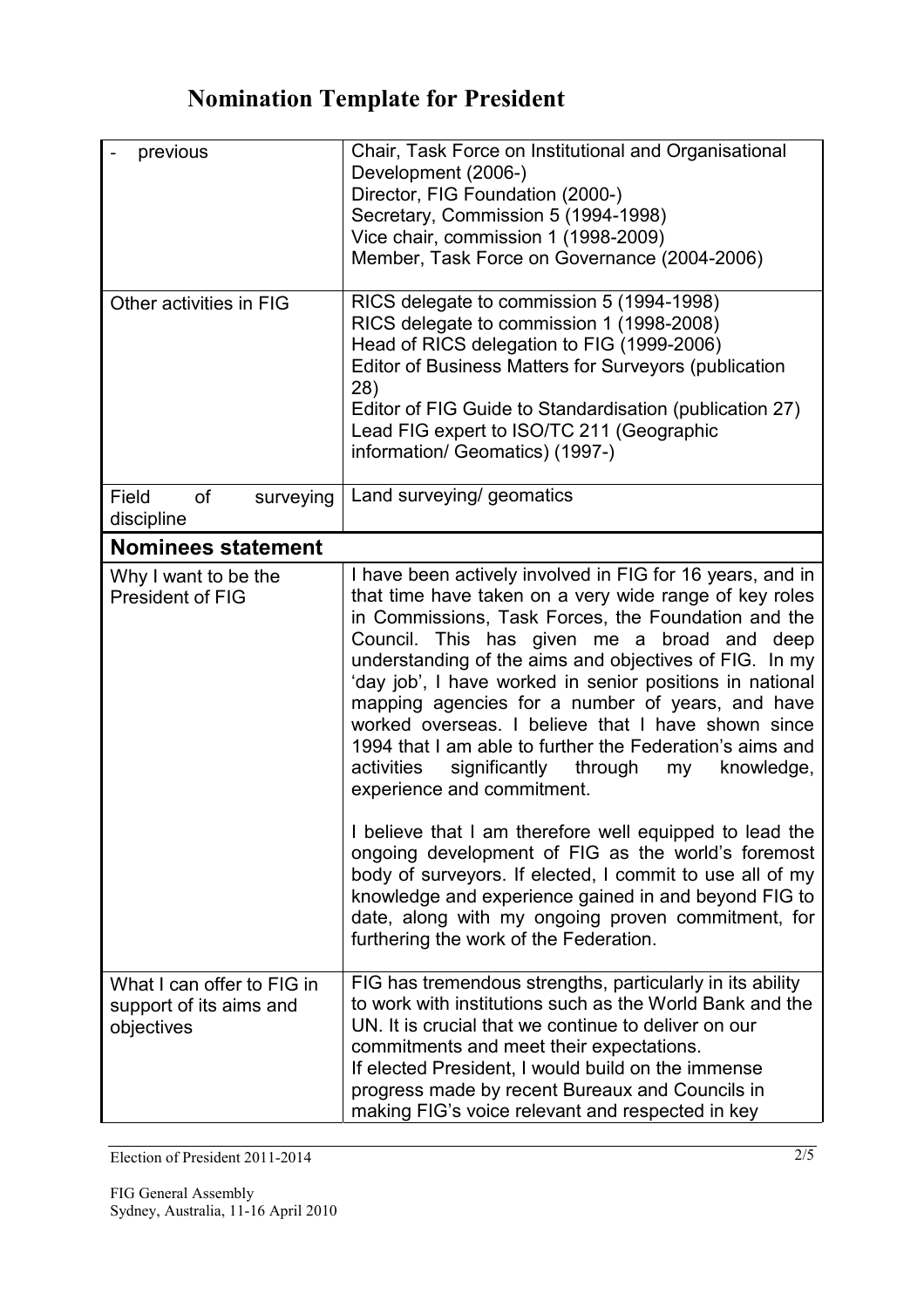| previous<br>Other activities in FIG                                 | Chair, Task Force on Institutional and Organisational<br>Development (2006-)<br>Director, FIG Foundation (2000-)<br>Secretary, Commission 5 (1994-1998)<br>Vice chair, commission 1 (1998-2009)<br>Member, Task Force on Governance (2004-2006)<br>RICS delegate to commission 5 (1994-1998)<br>RICS delegate to commission 1 (1998-2008)<br>Head of RICS delegation to FIG (1999-2006)<br>Editor of Business Matters for Surveyors (publication<br>28)<br>Editor of FIG Guide to Standardisation (publication 27)<br>Lead FIG expert to ISO/TC 211 (Geographic<br>information/ Geomatics) (1997-)                                                                                                                                                                                                                                                                                                                                                  |
|---------------------------------------------------------------------|-----------------------------------------------------------------------------------------------------------------------------------------------------------------------------------------------------------------------------------------------------------------------------------------------------------------------------------------------------------------------------------------------------------------------------------------------------------------------------------------------------------------------------------------------------------------------------------------------------------------------------------------------------------------------------------------------------------------------------------------------------------------------------------------------------------------------------------------------------------------------------------------------------------------------------------------------------|
| Field<br><b>of</b><br>surveying<br>discipline                       | Land surveying/ geomatics                                                                                                                                                                                                                                                                                                                                                                                                                                                                                                                                                                                                                                                                                                                                                                                                                                                                                                                           |
| <b>Nominees statement</b>                                           |                                                                                                                                                                                                                                                                                                                                                                                                                                                                                                                                                                                                                                                                                                                                                                                                                                                                                                                                                     |
| Why I want to be the<br>President of FIG                            | I have been actively involved in FIG for 16 years, and in<br>that time have taken on a very wide range of key roles<br>in Commissions, Task Forces, the Foundation and the<br>Council. This has given me a broad and deep<br>understanding of the aims and objectives of FIG. In my<br>'day job', I have worked in senior positions in national<br>mapping agencies for a number of years, and have<br>worked overseas. I believe that I have shown since<br>1994 that I am able to further the Federation's aims and<br>activities<br>significantly through<br>my<br>knowledge,<br>experience and commitment.<br>I believe that I am therefore well equipped to lead the<br>ongoing development of FIG as the world's foremost<br>body of surveyors. If elected, I commit to use all of my<br>knowledge and experience gained in and beyond FIG to<br>date, along with my ongoing proven commitment, for<br>furthering the work of the Federation. |
| What I can offer to FIG in<br>support of its aims and<br>objectives | FIG has tremendous strengths, particularly in its ability<br>to work with institutions such as the World Bank and the<br>UN. It is crucial that we continue to deliver on our<br>commitments and meet their expectations.<br>If elected President, I would build on the immense<br>progress made by recent Bureaux and Councils in<br>making FIG's voice relevant and respected in key                                                                                                                                                                                                                                                                                                                                                                                                                                                                                                                                                              |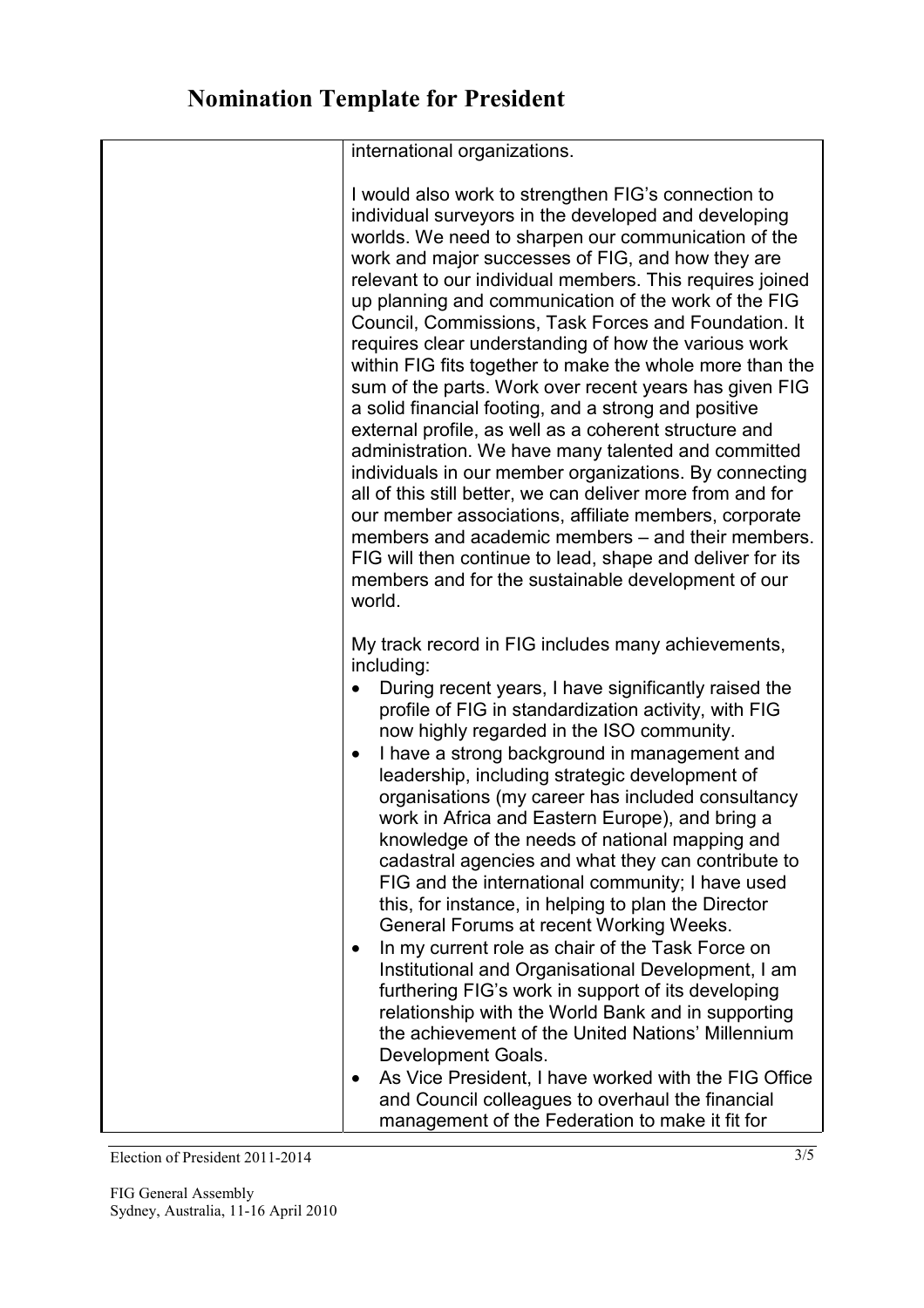| international organizations.                                                                                                                                                                                                                                                                                                                                                                                                                                                                                                                                                                                                                                                                                                                                                                                                                                                                                                                                                                                                                                                                                                 |
|------------------------------------------------------------------------------------------------------------------------------------------------------------------------------------------------------------------------------------------------------------------------------------------------------------------------------------------------------------------------------------------------------------------------------------------------------------------------------------------------------------------------------------------------------------------------------------------------------------------------------------------------------------------------------------------------------------------------------------------------------------------------------------------------------------------------------------------------------------------------------------------------------------------------------------------------------------------------------------------------------------------------------------------------------------------------------------------------------------------------------|
| I would also work to strengthen FIG's connection to<br>individual surveyors in the developed and developing<br>worlds. We need to sharpen our communication of the<br>work and major successes of FIG, and how they are<br>relevant to our individual members. This requires joined<br>up planning and communication of the work of the FIG<br>Council, Commissions, Task Forces and Foundation. It<br>requires clear understanding of how the various work<br>within FIG fits together to make the whole more than the<br>sum of the parts. Work over recent years has given FIG<br>a solid financial footing, and a strong and positive<br>external profile, as well as a coherent structure and<br>administration. We have many talented and committed<br>individuals in our member organizations. By connecting<br>all of this still better, we can deliver more from and for<br>our member associations, affiliate members, corporate<br>members and academic members – and their members.<br>FIG will then continue to lead, shape and deliver for its<br>members and for the sustainable development of our<br>world. |
| My track record in FIG includes many achievements,<br>including:<br>During recent years, I have significantly raised the<br>profile of FIG in standardization activity, with FIG<br>now highly regarded in the ISO community.<br>I have a strong background in management and<br>$\bullet$<br>leadership, including strategic development of<br>organisations (my career has included consultancy<br>work in Africa and Eastern Europe), and bring a<br>knowledge of the needs of national mapping and<br>cadastral agencies and what they can contribute to<br>FIG and the international community; I have used<br>this, for instance, in helping to plan the Director<br>General Forums at recent Working Weeks.<br>In my current role as chair of the Task Force on<br>$\bullet$<br>Institutional and Organisational Development, I am<br>furthering FIG's work in support of its developing<br>relationship with the World Bank and in supporting<br>the achievement of the United Nations' Millennium<br>Development Goals.<br>As Vice President, I have worked with the FIG Office<br>٠                                |
| and Council colleagues to overhaul the financial<br>management of the Federation to make it fit for                                                                                                                                                                                                                                                                                                                                                                                                                                                                                                                                                                                                                                                                                                                                                                                                                                                                                                                                                                                                                          |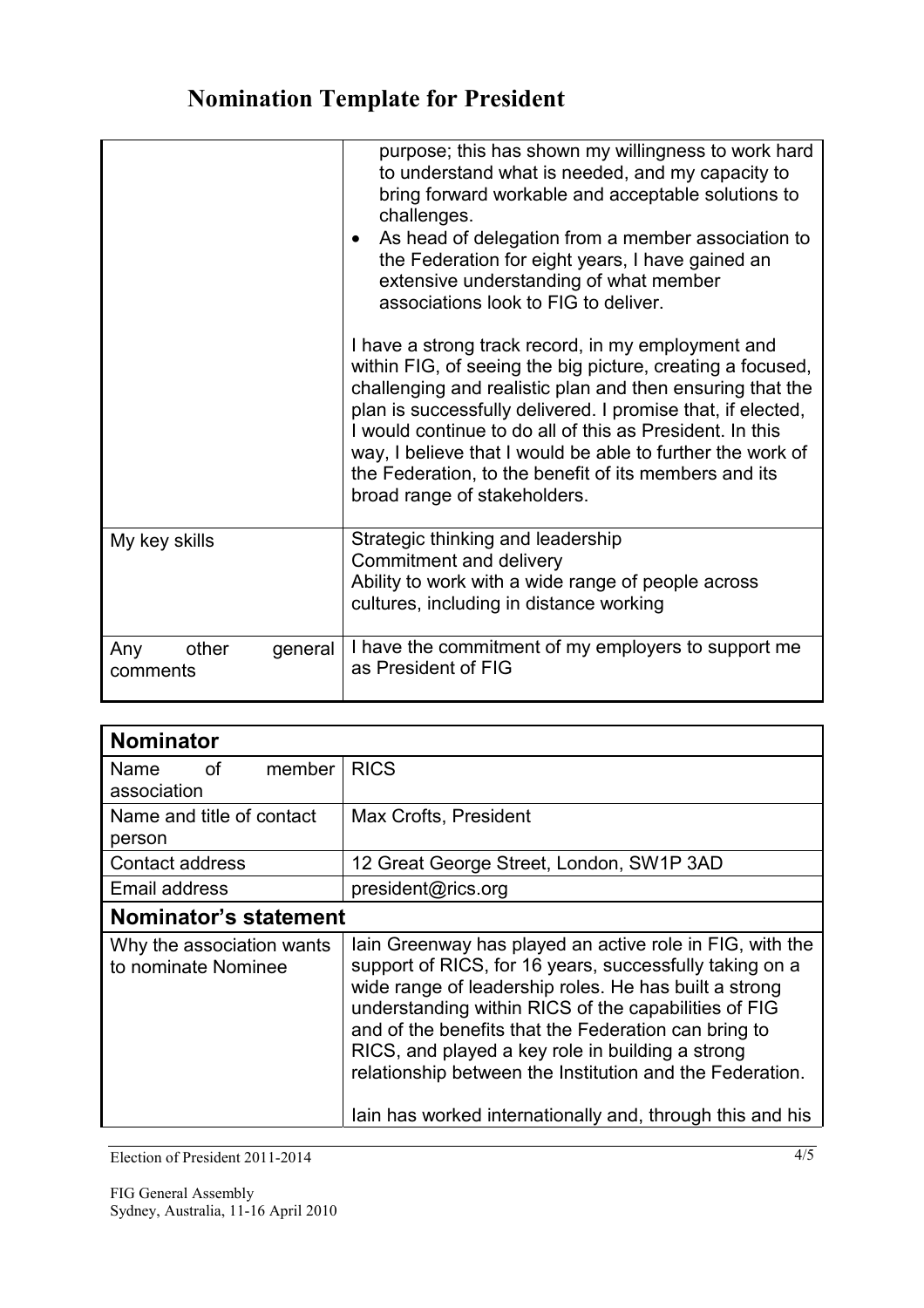|                                     | purpose; this has shown my willingness to work hard<br>to understand what is needed, and my capacity to<br>bring forward workable and acceptable solutions to<br>challenges.<br>As head of delegation from a member association to<br>$\bullet$<br>the Federation for eight years, I have gained an<br>extensive understanding of what member<br>associations look to FIG to deliver.                                                                           |
|-------------------------------------|-----------------------------------------------------------------------------------------------------------------------------------------------------------------------------------------------------------------------------------------------------------------------------------------------------------------------------------------------------------------------------------------------------------------------------------------------------------------|
|                                     | I have a strong track record, in my employment and<br>within FIG, of seeing the big picture, creating a focused,<br>challenging and realistic plan and then ensuring that the<br>plan is successfully delivered. I promise that, if elected,<br>I would continue to do all of this as President. In this<br>way, I believe that I would be able to further the work of<br>the Federation, to the benefit of its members and its<br>broad range of stakeholders. |
| My key skills                       | Strategic thinking and leadership<br>Commitment and delivery<br>Ability to work with a wide range of people across<br>cultures, including in distance working                                                                                                                                                                                                                                                                                                   |
| Any<br>other<br>general<br>comments | I have the commitment of my employers to support me<br>as President of FIG                                                                                                                                                                                                                                                                                                                                                                                      |

| Nominator                                                                                                                                                                                                                                                                                                                                                                                                                                                                 |  |  |
|---------------------------------------------------------------------------------------------------------------------------------------------------------------------------------------------------------------------------------------------------------------------------------------------------------------------------------------------------------------------------------------------------------------------------------------------------------------------------|--|--|
| <b>RICS</b>                                                                                                                                                                                                                                                                                                                                                                                                                                                               |  |  |
| Max Crofts, President                                                                                                                                                                                                                                                                                                                                                                                                                                                     |  |  |
| 12 Great George Street, London, SW1P 3AD                                                                                                                                                                                                                                                                                                                                                                                                                                  |  |  |
| president@rics.org                                                                                                                                                                                                                                                                                                                                                                                                                                                        |  |  |
| Nominator's statement                                                                                                                                                                                                                                                                                                                                                                                                                                                     |  |  |
| lain Greenway has played an active role in FIG, with the<br>support of RICS, for 16 years, successfully taking on a<br>wide range of leadership roles. He has built a strong<br>understanding within RICS of the capabilities of FIG<br>and of the benefits that the Federation can bring to<br>RICS, and played a key role in building a strong<br>relationship between the Institution and the Federation.<br>lain has worked internationally and, through this and his |  |  |
|                                                                                                                                                                                                                                                                                                                                                                                                                                                                           |  |  |